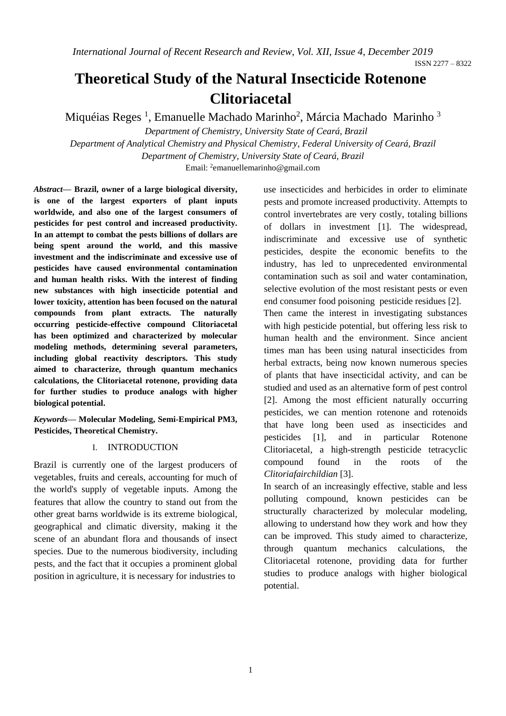# **Theoretical Study of the Natural Insecticide Rotenone Clitoriacetal**

Miquéias Reges <sup>1</sup>, Emanuelle Machado Marinho<sup>2</sup>, Márcia Machado Marinho <sup>3</sup> *Department of Chemistry, University State of Ceará, Brazil*

*Department of Analytical Chemistry and Physical Chemistry, Federal University of Ceará, Brazil Department of Chemistry, University State of Ceará, Brazil*

Email: <sup>2</sup>emanuellemarinho@gmail.com

*Abstract***— Brazil, owner of a large biological diversity, is one of the largest exporters of plant inputs worldwide, and also one of the largest consumers of pesticides for pest control and increased productivity. In an attempt to combat the pests billions of dollars are being spent around the world, and this massive investment and the indiscriminate and excessive use of pesticides have caused environmental contamination and human health risks. With the interest of finding new substances with high insecticide potential and lower toxicity, attention has been focused on the natural compounds from plant extracts. The naturally occurring pesticide-effective compound Clitoriacetal has been optimized and characterized by molecular modeling methods, determining several parameters, including global reactivity descriptors. This study aimed to characterize, through quantum mechanics calculations, the Clitoriacetal rotenone, providing data for further studies to produce analogs with higher biological potential.** 

*Keywords***— Molecular Modeling, Semi-Empirical PM3, Pesticides, Theoretical Chemistry.** 

# I. INTRODUCTION

Brazil is currently one of the largest producers of vegetables, fruits and cereals, accounting for much of the world's supply of vegetable inputs. Among the features that allow the country to stand out from the other great barns worldwide is its extreme biological, geographical and climatic diversity, making it the scene of an abundant flora and thousands of insect species. Due to the numerous biodiversity, including pests, and the fact that it occupies a prominent global position in agriculture, it is necessary for industries to

use insecticides and herbicides in order to eliminate pests and promote increased productivity. Attempts to control invertebrates are very costly, totaling billions of dollars in investment [1]. The widespread, indiscriminate and excessive use of synthetic pesticides, despite the economic benefits to the industry, has led to unprecedented environmental contamination such as soil and water contamination, selective evolution of the most resistant pests or even end consumer food poisoning pesticide residues [2].

Then came the interest in investigating substances with high pesticide potential, but offering less risk to human health and the environment. Since ancient times man has been using natural insecticides from herbal extracts, being now known numerous species of plants that have insecticidal activity, and can be studied and used as an alternative form of pest control [2]. Among the most efficient naturally occurring pesticides, we can mention rotenone and rotenoids that have long been used as insecticides and pesticides [1], and in particular Rotenone Clitoriacetal, a high-strength pesticide tetracyclic compound found in the roots of the *Clitoriafairchildian* [3].

In search of an increasingly effective, stable and less polluting compound, known pesticides can be structurally characterized by molecular modeling, allowing to understand how they work and how they can be improved. This study aimed to characterize, through quantum mechanics calculations, the Clitoriacetal rotenone, providing data for further studies to produce analogs with higher biological potential.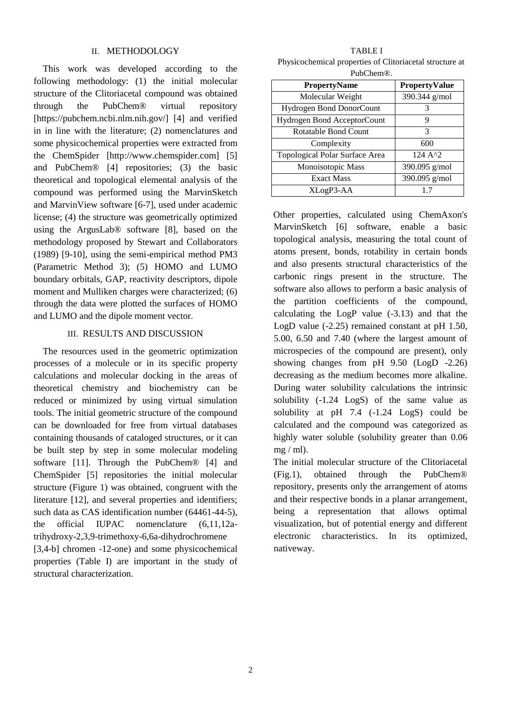#### II. METHODOLOGY

This work was developed according to the following methodology: (1) the initial molecular structure of the Clitoriacetal compound was obtained through the PubChem® virtual repository [https://pubchem.ncbi.nlm.nih.gov/] [4] and verified in in line with the literature; (2) nomenclatures and some physicochemical properties were extracted from the ChemSpider [http://www.chemspider.com] [5] and PubChem® [4] repositories; (3) the basic theoretical and topological elemental analysis of the compound was performed using the MarvinSketch and MarvinView software [6-7], used under academic license; (4) the structure was geometrically optimized using the ArgusLab® software [8], based on the methodology proposed by Stewart and Collaborators (1989) [9-10], using the semi-empirical method PM3 (Parametric Method 3); (5) HOMO and LUMO boundary orbitals, GAP, reactivity descriptors, dipole moment and Mulliken charges were characterized; (6) through the data were plotted the surfaces of HOMO and LUMO and the dipole moment vector.

# III. RESULTS AND DISCUSSION

The resources used in the geometric optimization processes of a molecule or in its specific property calculations and molecular docking in the areas of theoretical chemistry and biochemistry can be reduced or minimized by using virtual simulation tools. The initial geometric structure of the compound can be downloaded for free from virtual databases containing thousands of cataloged structures, or it can be built step by step in some molecular modeling software [11]. Through the PubChem® [4] and ChemSpider [5] repositories the initial molecular structure (Figure 1) was obtained, congruent with the literature [12], and several properties and identifiers; such data as CAS identification number (64461-44-5), the official IUPAC nomenclature (6,11,12atrihydroxy-2,3,9-trimethoxy-6,6a-dihydrochromene [3,4-b] chromen -12-one) and some physicochemical properties (Table I) are important in the study of

structural characterization.

TABLE I Physicochemical properties of Clitoriacetal structure at PubChem®.

| 1 uu siiviilo.                  |                      |  |  |  |
|---------------------------------|----------------------|--|--|--|
| <b>PropertyName</b>             | <b>PropertyValue</b> |  |  |  |
| Molecular Weight                | $390.344$ g/mol      |  |  |  |
| <b>Hydrogen Bond DonorCount</b> | 3                    |  |  |  |
| Hydrogen Bond AcceptorCount     | 9                    |  |  |  |
| Rotatable Bond Count            | 3                    |  |  |  |
| Complexity                      | 600                  |  |  |  |
| Topological Polar Surface Area  | 124 A <sup>1</sup> 2 |  |  |  |
| Monoisotopic Mass               | 390.095 g/mol        |  |  |  |
| <b>Exact Mass</b>               | 390.095 g/mol        |  |  |  |
| XLogP3-AA                       |                      |  |  |  |

Other properties, calculated using ChemAxon's MarvinSketch [6] software, enable a basic topological analysis, measuring the total count of atoms present, bonds, rotability in certain bonds and also presents structural characteristics of the carbonic rings present in the structure. The software also allows to perform a basic analysis of the partition coefficients of the compound, calculating the LogP value (-3.13) and that the LogD value (-2.25) remained constant at pH 1.50, 5.00, 6.50 and 7.40 (where the largest amount of microspecies of the compound are present), only showing changes from pH 9.50 (LogD -2.26) decreasing as the medium becomes more alkaline. During water solubility calculations the intrinsic solubility (-1.24 LogS) of the same value as solubility at pH 7.4 (-1.24 LogS) could be calculated and the compound was categorized as highly water soluble (solubility greater than 0.06  $mg / ml$ ).

The initial molecular structure of the Clitoriacetal (Fig.1), obtained through the PubChem® repository, presents only the arrangement of atoms and their respective bonds in a planar arrangement, being a representation that allows optimal visualization, but of potential energy and different electronic characteristics. In its optimized, nativeway.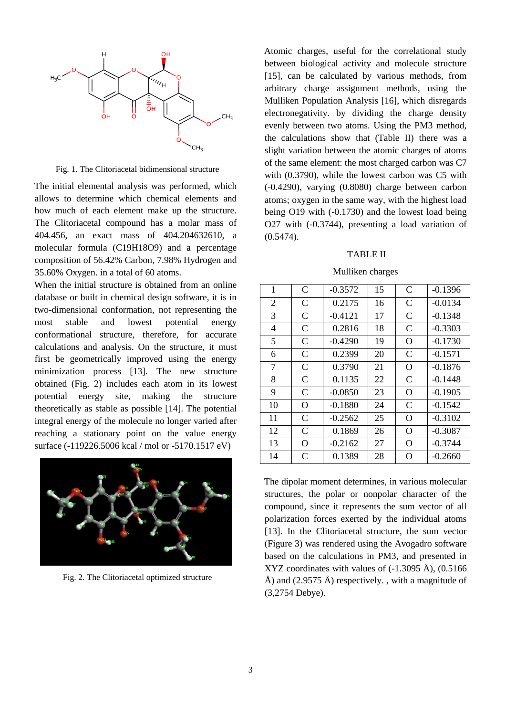

Fig. 1. The Clitoriacetal bidimensional structure

The initial elemental analysis was performed, which allows to determine which chemical elements and how much of each element make up the structure. The Clitoriacetal compound has a molar mass of 404.456, an exact mass of 404.204632610, a molecular formula (C19H18O9) and a percentage composition of 56.42% Carbon, 7.98% Hydrogen and 35.60% Oxygen. in a total of 60 atoms.

When the initial structure is obtained from an online database or built in chemical design software, it is in two-dimensional conformation, not representing the most stable and lowest potential energy conformational structure, therefore, for accurate calculations and analysis. On the structure, it must first be geometrically improved using the energy minimization process [13]. The new structure obtained (Fig. 2) includes each atom in its lowest potential energy site, making the structure theoretically as stable as possible [14]. The potential integral energy of the molecule no longer varied after reaching a stationary point on the value energy surface (-119226.5006 kcal / mol or -5170.1517 eV)



Fig. 2. The Clitoriacetal optimized structure

Atomic charges, useful for the correlational study between biological activity and molecule structure [15], can be calculated by various methods, from arbitrary charge assignment methods, using the Mulliken Population Analysis [16], which disregards electronegativity. by dividing the charge density evenly between two atoms. Using the PM3 method, the calculations show that (Table II) there was a slight variation between the atomic charges of atoms of the same element: the most charged carbon was C7 with (0.3790), while the lowest carbon was C5 with (-0.4290), varying (0.8080) charge between carbon atoms; oxygen in the same way, with the highest load being O19 with (-0.1730) and the lowest load being O27 with (-0.3744), presenting a load variation of (0.5474).

#### TABLE II

### Mulliken charges

| 1              | $\mathsf{C}$ | $-0.3572$ | 15 | $\mathcal{C}$ | $-0.1396$ |
|----------------|--------------|-----------|----|---------------|-----------|
| $\overline{2}$ | $\mathsf{C}$ | 0.2175    | 16 | $\mathcal{C}$ | $-0.0134$ |
| 3              | C            | $-0.4121$ | 17 | C             | $-0.1348$ |
| 4              | $\mathsf{C}$ | 0.2816    | 18 | $\mathcal{C}$ | $-0.3303$ |
| 5              | $\mathsf{C}$ | $-0.4290$ | 19 | O             | $-0.1730$ |
| 6              | C            | 0.2399    | 20 | C             | $-0.1571$ |
| 7              | $\mathsf{C}$ | 0.3790    | 21 | O             | $-0.1876$ |
| 8              | $\mathsf{C}$ | 0.1135    | 22 | $\mathcal{C}$ | $-0.1448$ |
| 9              | $\mathsf{C}$ | $-0.0850$ | 23 | O             | $-0.1905$ |
| 10             | O            | $-0.1880$ | 24 | C             | $-0.1542$ |
| 11             | $\mathsf{C}$ | $-0.2562$ | 25 | O             | $-0.3102$ |
| 12             | $\mathsf{C}$ | 0.1869    | 26 | O             | $-0.3087$ |
| 13             | O            | $-0.2162$ | 27 | $\Omega$      | $-0.3744$ |
| 14             | C            | 0.1389    | 28 | O             | $-0.2660$ |

The dipolar moment determines, in various molecular structures, the polar or nonpolar character of the compound, since it represents the sum vector of all polarization forces exerted by the individual atoms [13]. In the Clitoriacetal structure, the sum vector (Figure 3) was rendered using the Avogadro software based on the calculations in PM3, and presented in XYZ coordinates with values of  $(-1.3095 \text{ Å})$ ,  $(0.5166$ Å) and  $(2.9575 \text{ Å})$  respectively., with a magnitude of (3,2754 Debye).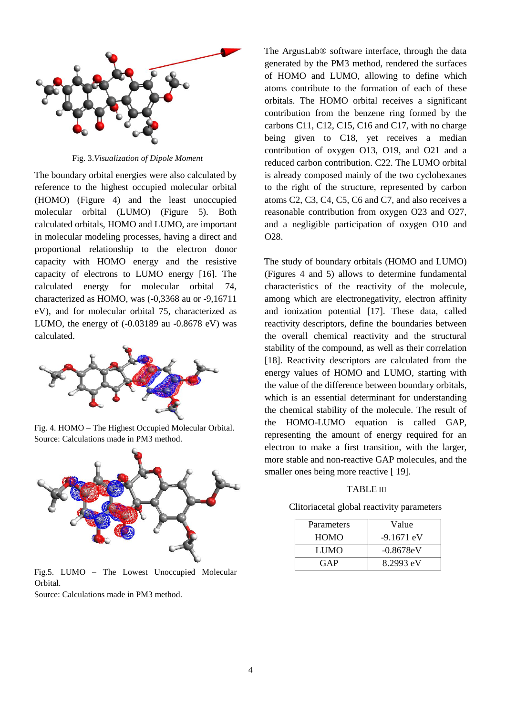

Fig. 3.*Visualization of Dipole Moment*

The boundary orbital energies were also calculated by reference to the highest occupied molecular orbital (HOMO) (Figure 4) and the least unoccupied molecular orbital (LUMO) (Figure 5). Both calculated orbitals, HOMO and LUMO, are important in molecular modeling processes, having a direct and proportional relationship to the electron donor capacity with HOMO energy and the resistive capacity of electrons to LUMO energy [16]. The calculated energy for molecular orbital 74, characterized as HOMO, was (-0,3368 au or -9,16711 eV), and for molecular orbital 75, characterized as LUMO, the energy of (-0.03189 au -0.8678 eV) was calculated.



Fig. 4. HOMO – The Highest Occupied Molecular Orbital. Source: Calculations made in PM3 method.



Fig.5. LUMO – The Lowest Unoccupied Molecular Orbital.

Source: Calculations made in PM3 method.

The ArgusLab® software interface, through the data generated by the PM3 method, rendered the surfaces of HOMO and LUMO, allowing to define which atoms contribute to the formation of each of these orbitals. The HOMO orbital receives a significant contribution from the benzene ring formed by the carbons C11, C12, C15, C16 and C17, with no charge being given to C18, yet receives a median contribution of oxygen O13, O19, and O21 and a reduced carbon contribution. C22. The LUMO orbital is already composed mainly of the two cyclohexanes to the right of the structure, represented by carbon atoms C2, C3, C4, C5, C6 and C7, and also receives a reasonable contribution from oxygen O23 and O27, and a negligible participation of oxygen O10 and O28.

The study of boundary orbitals (HOMO and LUMO) (Figures 4 and 5) allows to determine fundamental characteristics of the reactivity of the molecule, among which are electronegativity, electron affinity and ionization potential [17]. These data, called reactivity descriptors, define the boundaries between the overall chemical reactivity and the structural stability of the compound, as well as their correlation [18]. Reactivity descriptors are calculated from the energy values of HOMO and LUMO, starting with the value of the difference between boundary orbitals, which is an essential determinant for understanding the chemical stability of the molecule. The result of the HOMO-LUMO equation is called GAP, representing the amount of energy required for an electron to make a first transition, with the larger, more stable and non-reactive GAP molecules, and the smaller ones being more reactive [19].

#### TABLE III

Clitoriacetal global reactivity parameters

| Parameters  | Value        |
|-------------|--------------|
| <b>HOMO</b> | $-9.1671$ eV |
| LUMO        | $-0.8678eV$  |
| GAP         | 8.2993 eV    |